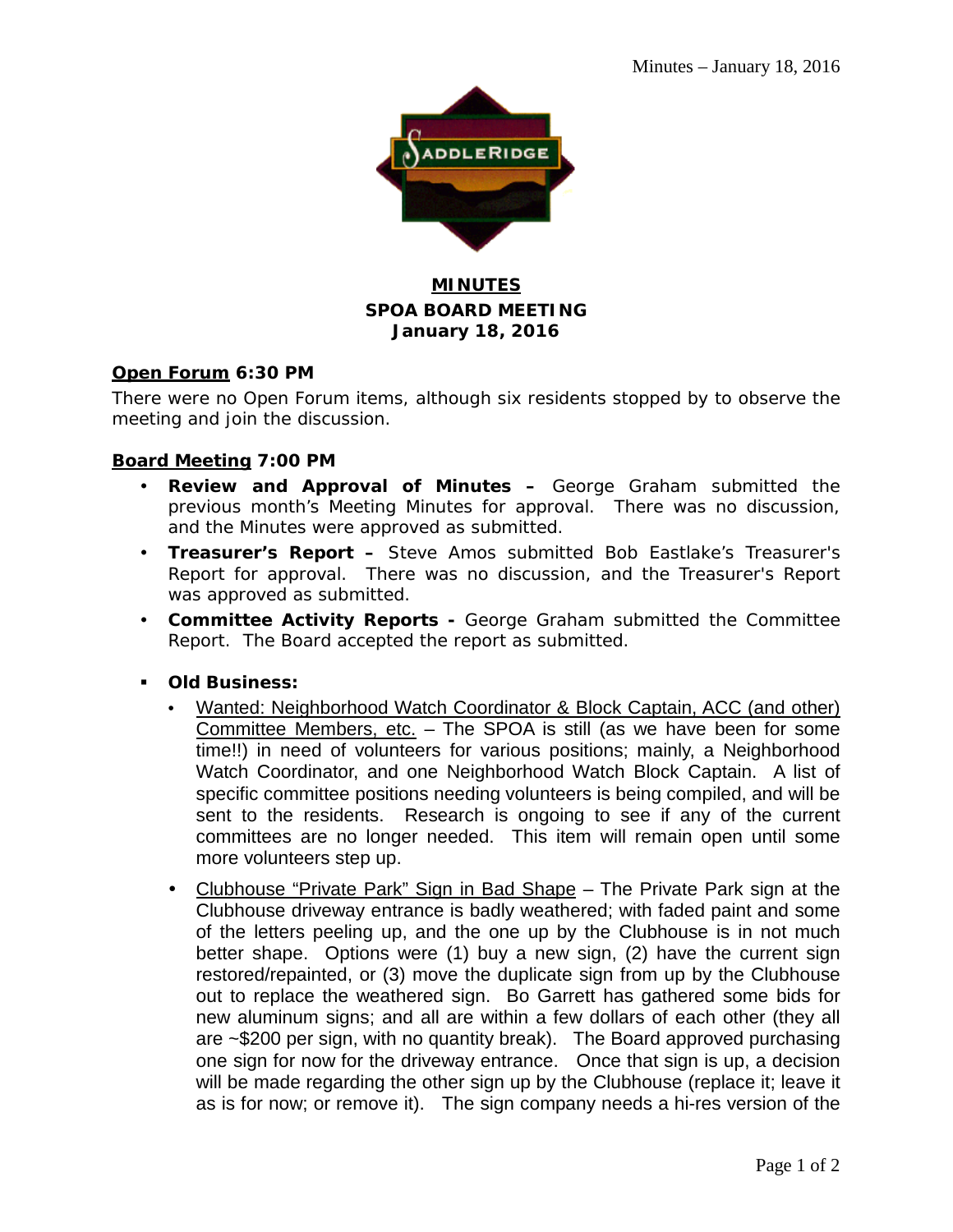

## **MINUTES SPOA BOARD MEETING January 18, 2016**

### **Open Forum 6:30 PM**

There were no Open Forum items, although six residents stopped by to observe the meeting and join the discussion.

### **Board Meeting 7:00 PM**

- **Review and Approval of Minutes –** George Graham submitted the previous month's Meeting Minutes for approval. There was no discussion, and the Minutes were approved as submitted.
- **Treasurer's Report –** Steve Amos submitted Bob Eastlake's Treasurer's Report for approval. There was no discussion, and the Treasurer's Report was approved as submitted.
- **Committee Activity Reports -** George Graham submitted the Committee Report. The Board accepted the report as submitted.
- **Old Business:**
	- Wanted: Neighborhood Watch Coordinator & Block Captain, ACC (and other) Committee Members, etc. – The SPOA is still (as we have been for some time!!) in need of volunteers for various positions; mainly, a Neighborhood Watch Coordinator, and one Neighborhood Watch Block Captain. A list of specific committee positions needing volunteers is being compiled, and will be sent to the residents. Research is ongoing to see if any of the current committees are no longer needed. This item will remain open until some more volunteers step up.
	- Clubhouse "Private Park" Sign in Bad Shape The Private Park sign at the Clubhouse driveway entrance is badly weathered; with faded paint and some of the letters peeling up, and the one up by the Clubhouse is in not much better shape. Options were (1) buy a new sign, (2) have the current sign restored/repainted, or (3) move the duplicate sign from up by the Clubhouse out to replace the weathered sign. Bo Garrett has gathered some bids for new aluminum signs; and all are within a few dollars of each other (they all are ~\$200 per sign, with no quantity break). The Board approved purchasing one sign for now for the driveway entrance. Once that sign is up, a decision will be made regarding the other sign up by the Clubhouse (replace it; leave it as is for now; or remove it). The sign company needs a hi-res version of the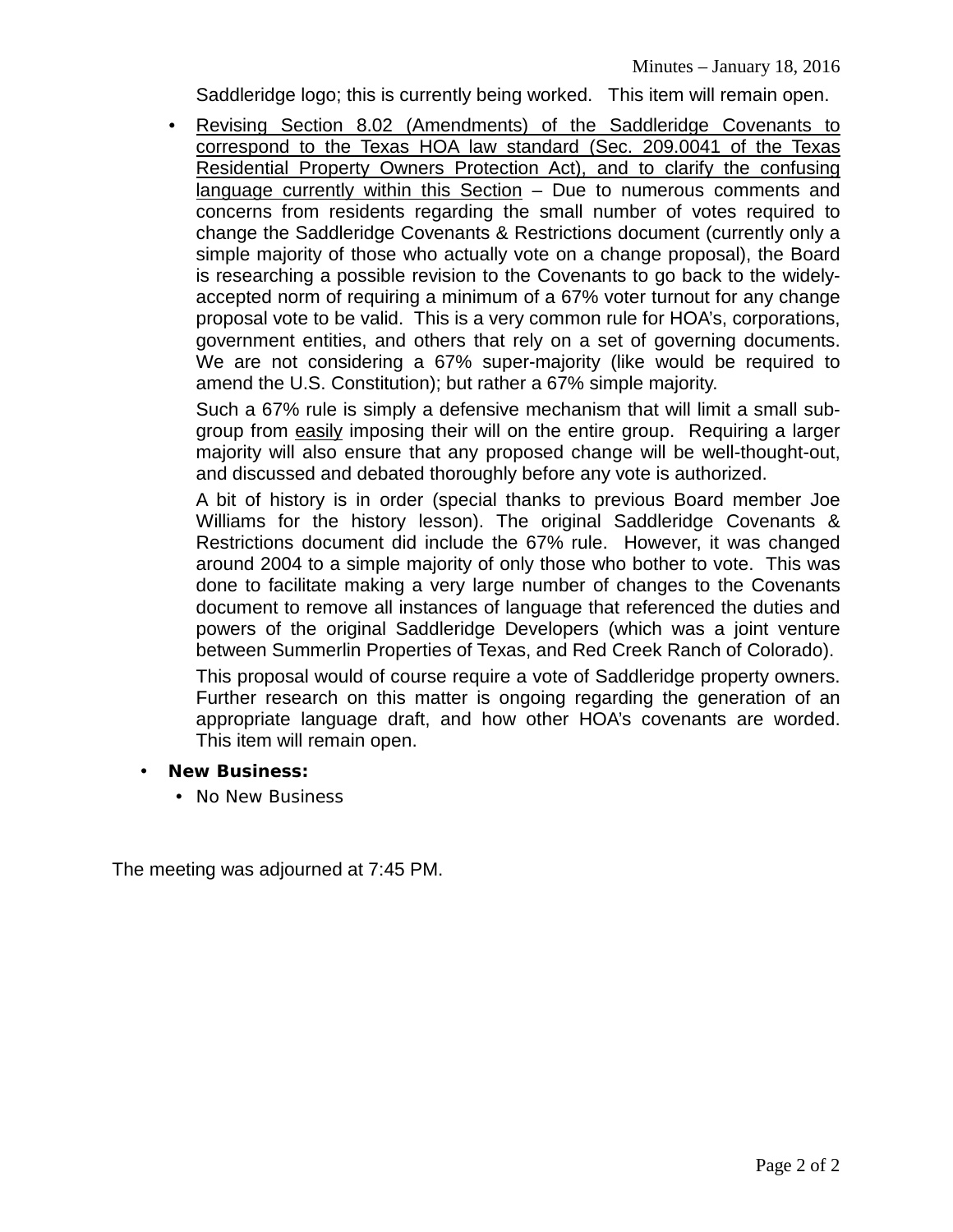Saddleridge logo; this is currently being worked. This item will remain open.

 Revising Section 8.02 (Amendments) of the Saddleridge Covenants to correspond to the Texas HOA law standard (Sec. 209.0041 of the Texas Residential Property Owners Protection Act), and to clarify the confusing language currently within this Section – Due to numerous comments and concerns from residents regarding the small number of votes required to change the Saddleridge Covenants & Restrictions document (currently only a simple majority of those who actually vote on a change proposal), the Board is researching a possible revision to the Covenants to go back to the widelyaccepted norm of requiring a minimum of a 67% voter turnout for any change proposal vote to be valid. This is a very common rule for HOA's, corporations, government entities, and others that rely on a set of governing documents. We are not considering a 67% super-majority (like would be required to amend the U.S. Constitution); but rather a 67% simple majority.

Such a 67% rule is simply a defensive mechanism that will limit a small subgroup from easily imposing their will on the entire group. Requiring a larger majority will also ensure that any proposed change will be well-thought-out, and discussed and debated thoroughly before any vote is authorized.

A bit of history is in order (special thanks to previous Board member Joe Williams for the history lesson). The original Saddleridge Covenants & Restrictions document did include the 67% rule. However, it was changed around 2004 to a simple majority of only those who bother to vote. This was done to facilitate making a very large number of changes to the Covenants document to remove all instances of language that referenced the duties and powers of the original Saddleridge Developers (which was a joint venture between Summerlin Properties of Texas, and Red Creek Ranch of Colorado).

This proposal would of course require a vote of Saddleridge property owners. Further research on this matter is ongoing regarding the generation of an appropriate language draft, and how other HOA's covenants are worded. This item will remain open.

- **New Business:**
	- No New Business

The meeting was adjourned at 7:45 PM.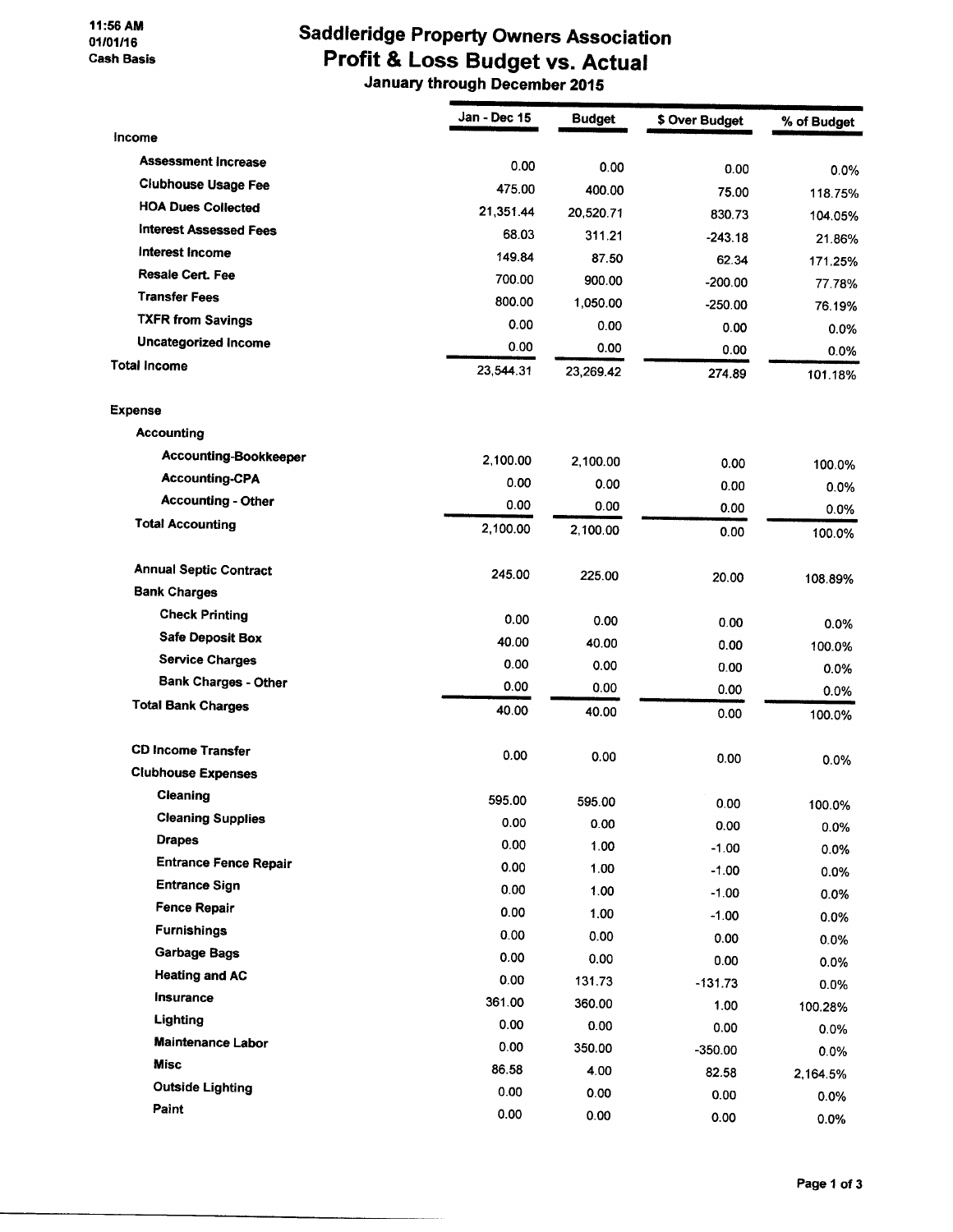#### 11:56 AM 01/01/16 **Cash Basis**

## **Saddleridge Property Owners Association** Profit & Loss Budget vs. Actual

| Income                        | Jan - Dec 15   | <b>Budget</b> | \$ Over Budget | % of Budget    |
|-------------------------------|----------------|---------------|----------------|----------------|
| <b>Assessment Increase</b>    |                |               |                |                |
| <b>Clubhouse Usage Fee</b>    | 0.00<br>475.00 | 0.00          | 0.00           | 0.0%           |
| <b>HOA Dues Collected</b>     |                | 400.00        | 75.00          | 118.75%        |
| <b>Interest Assessed Fees</b> | 21,351.44      | 20,520.71     | 830.73         | 104.05%        |
| Interest Income               | 68.03          | 311.21        | $-243.18$      | 21.86%         |
| <b>Resale Cert. Fee</b>       | 149.84         | 87.50         | 62.34          | 171.25%        |
| <b>Transfer Fees</b>          | 700.00         | 900.00        | $-200.00$      | 77.78%         |
| <b>TXFR from Savings</b>      | 800.00         | 1,050.00      | $-250.00$      | 76.19%         |
| Uncategorized Income          | 0.00           | 0.00          | 0.00           | 0.0%           |
| <b>Total Income</b>           | 0.00           | 0.00          | 0.00           | 0.0%           |
|                               | 23,544.31      | 23,269.42     | 274.89         | 101.18%        |
| <b>Expense</b>                |                |               |                |                |
| <b>Accounting</b>             |                |               |                |                |
| Accounting-Bookkeeper         | 2,100.00       | 2,100.00      | 0.00           | 100.0%         |
| <b>Accounting-CPA</b>         | 0.00           | 0.00          | 0.00           | 0.0%           |
| <b>Accounting - Other</b>     | 0.00           | 0.00          | 0.00           |                |
| <b>Total Accounting</b>       | 2,100.00       | 2,100.00      | 0.00           | 0.0%<br>100.0% |
|                               |                |               |                |                |
| <b>Annual Septic Contract</b> | 245.00         | 225.00        | 20.00          | 108.89%        |
| <b>Bank Charges</b>           |                |               |                |                |
| <b>Check Printing</b>         | 0.00           | 0.00          | 0.00           | 0.0%           |
| <b>Safe Deposit Box</b>       | 40.00          | 40.00         | 0.00           | 100.0%         |
| <b>Service Charges</b>        | 0.00           | 0.00          | 0.00           | $0.0\%$        |
| <b>Bank Charges - Other</b>   | 0.00           | 0.00          | 0.00           | 0.0%           |
| <b>Total Bank Charges</b>     | 40.00          | 40.00         | 0.00           | 100.0%         |
|                               |                |               |                |                |
| <b>CD Income Transfer</b>     | 0.00           | 0.00          | 0.00           | 0.0%           |
| <b>Clubhouse Expenses</b>     |                |               |                |                |
| Cleaning                      | 595.00         | 595.00        | 0.00           | 100.0%         |
| <b>Cleaning Supplies</b>      | 0.00           | 0.00          | 0.00           | 0.0%           |
| <b>Drapes</b>                 | 0.00           | 1.00          | $-1.00$        | 0.0%           |
| <b>Entrance Fence Repair</b>  | 0.00           | 1.00          | $-1.00$        | 0.0%           |
| <b>Entrance Sign</b>          | 0.00           | 1.00          | $-1.00$        | 0.0%           |
| <b>Fence Repair</b>           | 0.00           | 1.00          | $-1.00$        | 0.0%           |
| <b>Furnishings</b>            | 0.00           | 0.00          | 0.00           | 0.0%           |
| <b>Garbage Bags</b>           | 0.00           | 0.00          | 0.00           | 0.0%           |
| <b>Heating and AC</b>         | 0.00           | 131.73        | $-131.73$      | $0.0\%$        |
| <b>Insurance</b>              | 361.00         | 360.00        | 1.00           | 100.28%        |
| Lighting                      | 0.00           | 0.00          | 0.00           | 0.0%           |
| <b>Maintenance Labor</b>      | 0.00           | 350.00        | $-350.00$      | 0.0%           |
| <b>Misc</b>                   | 86.58          | 4.00          | 82.58          | 2,164.5%       |
| <b>Outside Lighting</b>       | 0.00           | 0.00          | 0.00           | 0.0%           |
| Paint                         | 0.00           | 0.00          | 0.00           | 0.0%           |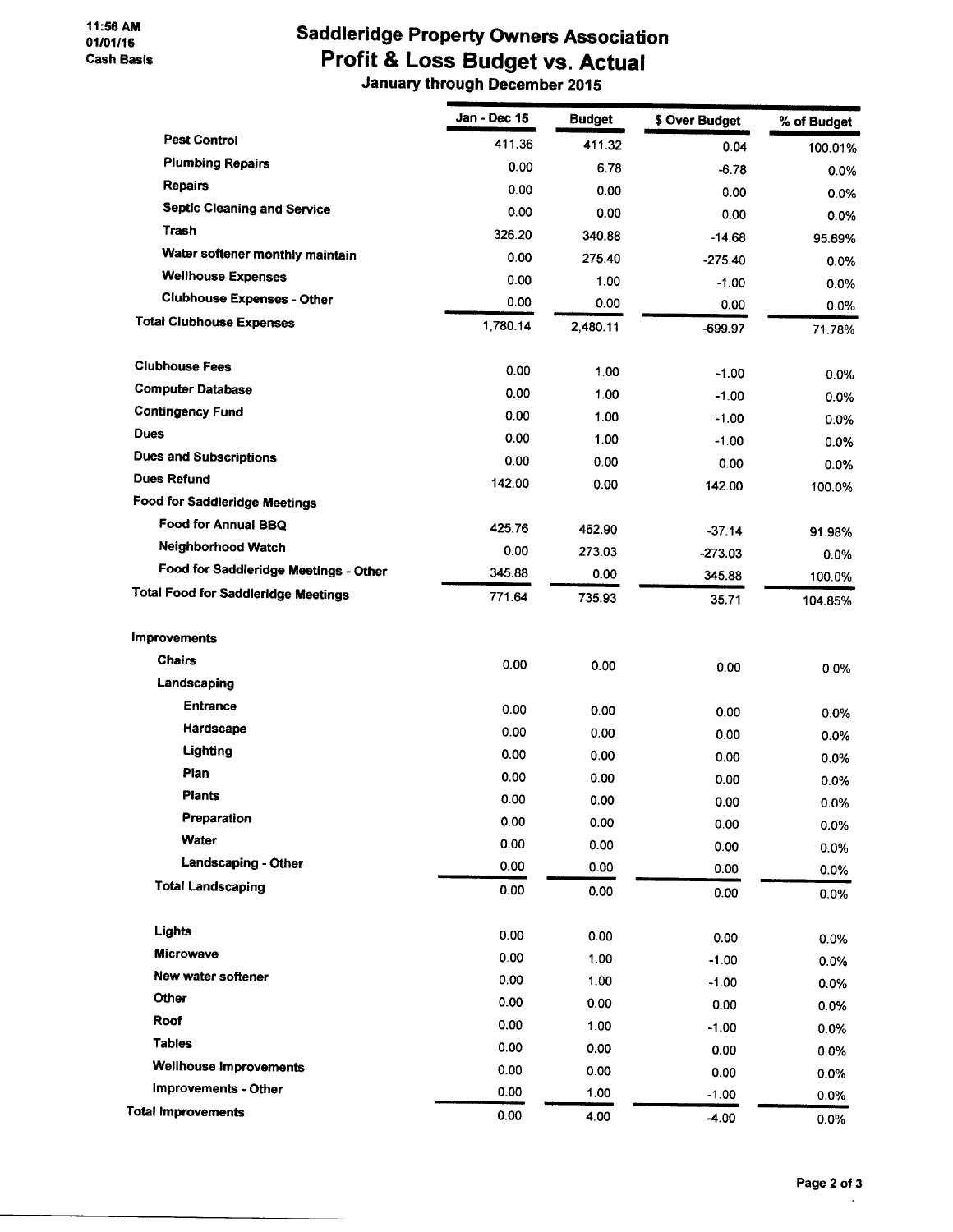#### 11:56 AM 01/01/16 **Cash Basis**

## **Saddleridge Property Owners Association** Profit & Loss Budget vs. Actual

|                                            | Jan - Dec 15 | <b>Budget</b> | \$ Over Budget  | % of Budget  |
|--------------------------------------------|--------------|---------------|-----------------|--------------|
| <b>Pest Control</b>                        | 411.36       | 411.32        | 0.04            | 100.01%      |
| <b>Plumbing Repairs</b>                    | 0.00         | 6.78          | $-6.78$         | 0.0%         |
| <b>Repairs</b>                             | 0.00         | 0.00          | 0.00            | 0.0%         |
| <b>Septic Cleaning and Service</b>         | 0.00         | 0.00          | 0.00            | 0.0%         |
| <b>Trash</b>                               | 326.20       | 340.88        | $-14.68$        | 95.69%       |
| Water softener monthly maintain            | 0.00         | 275.40        | $-275.40$       | 0.0%         |
| <b>Wellhouse Expenses</b>                  | 0.00         | 1.00          | $-1.00$         | $0.0\%$      |
| <b>Clubhouse Expenses - Other</b>          | 0.00         | 0.00          | 0.00            | 0.0%         |
| <b>Total Clubhouse Expenses</b>            | 1,780.14     | 2,480.11      | -699.97         | 71.78%       |
| <b>Clubhouse Fees</b>                      | 0.00         | 1.00          | $-1.00$         | $0.0\%$      |
| <b>Computer Database</b>                   | 0.00         | 1.00          | $-1.00$         | 0.0%         |
| <b>Contingency Fund</b>                    | 0.00         | 1.00          | -1.00           | 0.0%         |
| Dues                                       | 0.00         | 1.00          | $-1.00$         | 0.0%         |
| <b>Dues and Subscriptions</b>              | 0.00         | 0.00          | 0.00            | $0.0\%$      |
| <b>Dues Refund</b>                         | 142.00       | 0.00          | 142.00          | 100.0%       |
| Food for Saddleridge Meetings              |              |               |                 |              |
| Food for Annual BBQ                        | 425.76       | 462.90        | $-37.14$        | 91.98%       |
| Neighborhood Watch                         | 0.00         | 273.03        | $-273.03$       | 0.0%         |
| Food for Saddleridge Meetings - Other      | 345.88       | 0.00          | 345.88          | 100.0%       |
| <b>Total Food for Saddleridge Meetings</b> | 771.64       | 735.93        | 35.71           | 104.85%      |
| <b>Improvements</b>                        |              |               |                 |              |
| <b>Chairs</b>                              | 0.00         | 0.00          | 0.00            | 0.0%         |
| Landscaping                                |              |               |                 |              |
| <b>Entrance</b>                            | 0.00         | 0.00          | 0.00            | $0.0\%$      |
| Hardscape                                  | 0.00         | 0.00          | 0.00            | 0.0%         |
| Lighting                                   | 0.00         | 0.00          | 0.00            | 0.0%         |
| Plan                                       | 0.00         | 0.00          | 0.00            | 0.0%         |
| <b>Plants</b>                              | 0.00         | 0.00          | 0.00            | 0.0%         |
| Preparation                                | 0.00         | 0.00          | 0.00            | 0.0%         |
| Water                                      | 0.00         | 0.00          | 0.00            | 0.0%         |
| Landscaping - Other                        | 0.00         | 0.00          | 0.00            | 0.0%         |
| <b>Total Landscaping</b>                   | 0.00         | 0.00          | 0.00            | 0.0%         |
| Lights                                     | 0.00         | 0.00          |                 |              |
| Microwave                                  | 0.00         | 1.00          | 0.00            | 0.0%         |
| New water softener                         | 0.00         | 1.00          | $-1.00$         | 0.0%         |
| Other                                      | 0.00         | 0.00          | $-1.00$<br>0.00 | 0.0%         |
| Roof                                       | 0.00         | 1.00          | $-1.00$         | 0.0%         |
| <b>Tables</b>                              | 0.00         | 0.00          | 0.00            | 0.0%         |
| <b>Wellhouse Improvements</b>              | 0.00         | 0.00          | 0.00            | 0.0%         |
| Improvements - Other                       | 0.00         | 1.00          | $-1.00$         | 0.0%<br>0.0% |
| <b>Total Improvements</b>                  | 0.00         | 4.00          | $-4.00$         |              |
|                                            |              |               |                 | 0.0%         |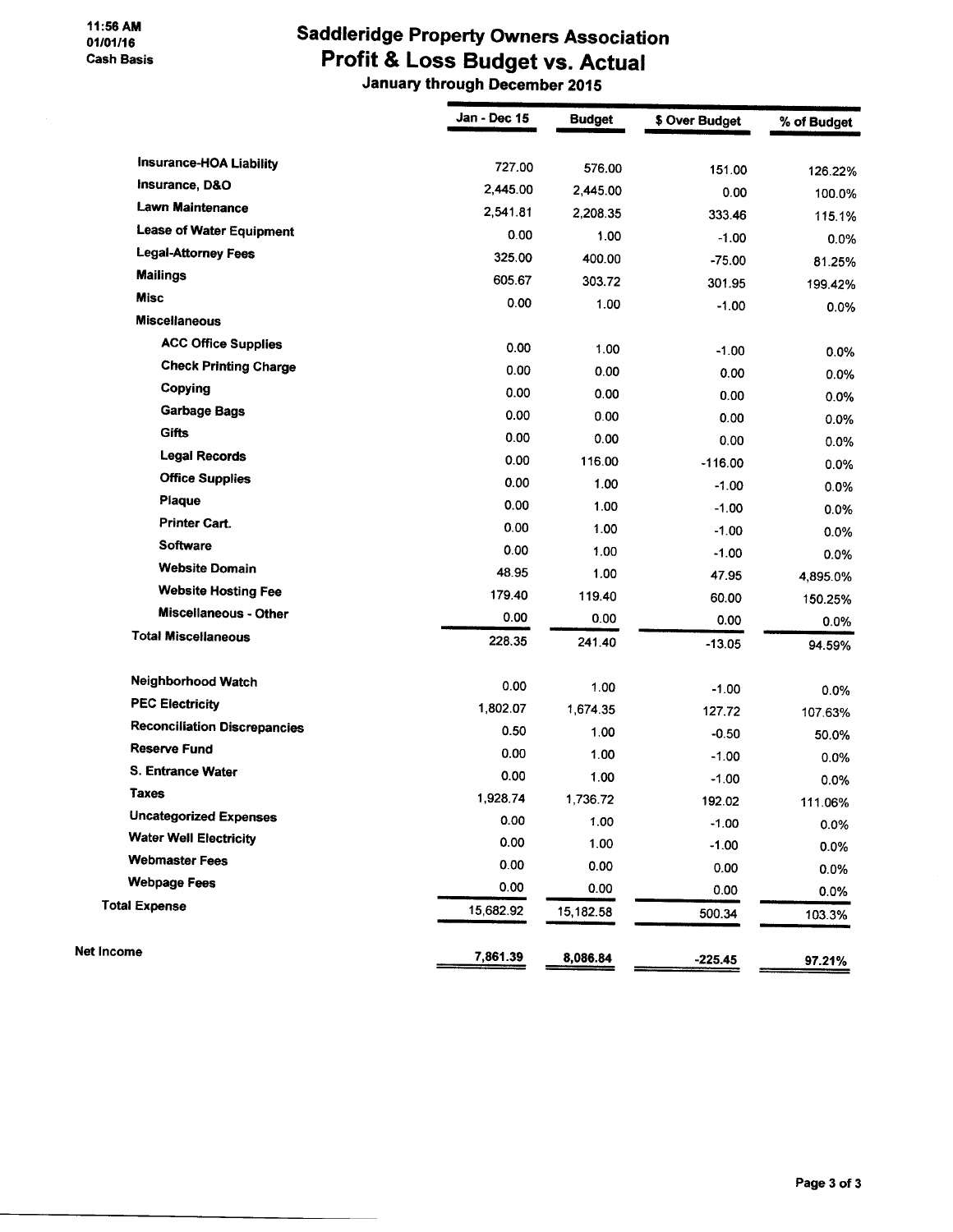# **Saddleridge Property Owners Association** Profit & Loss Budget vs. Actual

|                                     | Jan - Dec 15 | <b>Budget</b> | \$ Over Budget | % of Budget |
|-------------------------------------|--------------|---------------|----------------|-------------|
| <b>Insurance-HOA Liability</b>      | 727.00       |               |                |             |
| Insurance, D&O                      | 2,445.00     | 576.00        | 151.00         | 126.22%     |
| <b>Lawn Maintenance</b>             | 2,541.81     | 2,445.00      | 0.00           | 100.0%      |
| <b>Lease of Water Equipment</b>     | 0.00         | 2,208.35      | 333.46         | 115.1%      |
| <b>Legal-Attorney Fees</b>          |              | 1.00          | $-1.00$        | 0.0%        |
| <b>Mailings</b>                     | 325.00       | 400.00        | $-75.00$       | 81.25%      |
| <b>Misc</b>                         | 605.67       | 303.72        | 301.95         | 199.42%     |
| <b>Miscellaneous</b>                | 0.00         | 1.00          | $-1.00$        | 0.0%        |
| <b>ACC Office Supplies</b>          |              |               |                |             |
| <b>Check Printing Charge</b>        | 0.00         | 1.00          | $-1.00$        | 0.0%        |
| Copying                             | 0.00         | 0.00          | 0.00           | 0.0%        |
| <b>Garbage Bags</b>                 | 0.00         | 0.00          | 0.00           | 0.0%        |
| <b>Gifts</b>                        | 0.00         | 0.00          | 0.00           | 0.0%        |
| <b>Legal Records</b>                | 0.00         | 0.00          | 0.00           | 0.0%        |
| <b>Office Supplies</b>              | 0.00         | 116.00        | $-116.00$      | 0.0%        |
| Plaque                              | 0.00         | 1.00          | $-1.00$        | 0.0%        |
| <b>Printer Cart.</b>                | 0.00         | 1.00          | $-1.00$        | 0.0%        |
| <b>Software</b>                     | 0.00         | 1.00          | $-1.00$        | 0.0%        |
| <b>Website Domain</b>               | 0.00         | 1.00          | $-1.00$        | 0.0%        |
| <b>Website Hosting Fee</b>          | 48.95        | 1.00          | 47.95          | 4,895.0%    |
| <b>Miscellaneous - Other</b>        | 179.40       | 119.40        | 60.00          | 150.25%     |
| <b>Total Miscellaneous</b>          | 0.00         | 0.00          | 0.00           | 0.0%        |
|                                     | 228.35       | 241.40        | $-13.05$       | 94.59%      |
| <b>Neighborhood Watch</b>           | 0.00         | 1.00          | $-1.00$        | 0.0%        |
| <b>PEC Electricity</b>              | 1,802.07     | 1,674.35      | 127.72         | 107.63%     |
| <b>Reconciliation Discrepancies</b> | 0.50         | 1.00          | $-0.50$        | 50.0%       |
| <b>Reserve Fund</b>                 | 0.00         | 1.00          | $-1.00$        | 0.0%        |
| S. Entrance Water                   | 0.00         | 1.00          | $-1.00$        | 0.0%        |
| <b>Taxes</b>                        | 1,928.74     | 1,736.72      | 192.02         | 111.06%     |
| <b>Uncategorized Expenses</b>       | 0.00         | 1.00          | $-1.00$        | 0.0%        |
| <b>Water Well Electricity</b>       | 0.00         | 1.00          | $-1.00$        | 0.0%        |
| <b>Webmaster Fees</b>               | 0.00         | 0.00          | 0.00           | 0.0%        |
| <b>Webpage Fees</b>                 | 0.00         | 0.00          | 0.00           | 0.0%        |
| <b>Total Expense</b>                | 15,682.92    | 15,182.58     | 500.34         | 103.3%      |
| <b>Net Income</b>                   | 7,861.39     | 8,086.84      | $-225.45$      | 97.21%      |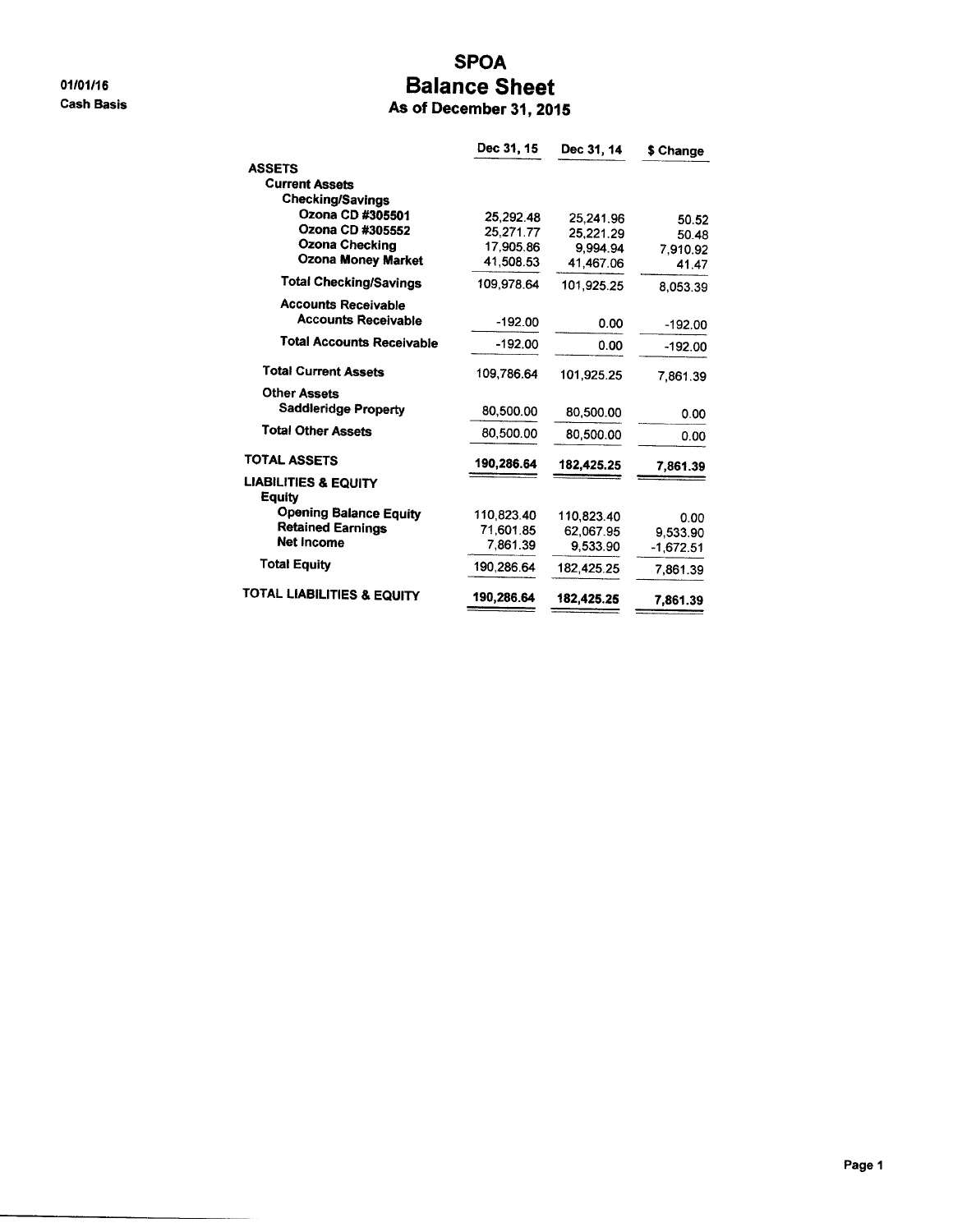01/01/16 **Cash Basis** 

## **SPOA Balance Sheet**

|  | As of December 31, 2015 |  |  |  |  |
|--|-------------------------|--|--|--|--|
|--|-------------------------|--|--|--|--|

|                                           | Dec 31, 15 | Dec 31, 14 | \$ Change   |
|-------------------------------------------|------------|------------|-------------|
| <b>ASSETS</b>                             |            |            |             |
| <b>Current Assets</b>                     |            |            |             |
| Checking/Savings                          |            |            |             |
| Ozona CD #305501                          | 25,292.48  | 25,241.96  | 50.52       |
| Ozona CD #305552                          | 25,271.77  | 25.221.29  | 50.48       |
| Ozona Checking                            | 17,905.86  | 9,994.94   | 7.910.92    |
| <b>Ozona Money Market</b>                 | 41,508.53  | 41.467.06  | 41.47       |
| <b>Total Checking/Savings</b>             | 109,978.64 | 101,925.25 | 8,053.39    |
| <b>Accounts Receivable</b>                |            |            |             |
| <b>Accounts Receivable</b>                | -192.00    | 0.00       | $-192.00$   |
| <b>Total Accounts Receivable</b>          | $-192.00$  | 0.00       | $-192.00$   |
| <b>Total Current Assets</b>               | 109,786.64 | 101,925.25 | 7.861.39    |
| <b>Other Assets</b>                       |            |            |             |
| Saddleridge Property                      | 80,500.00  | 80,500.00  | 0.00        |
| <b>Total Other Assets</b>                 | 80,500.00  | 80.500.00  | 0.00        |
| <b>TOTAL ASSETS</b>                       | 190,286.64 | 182,425.25 | 7,861.39    |
| <b>LIABILITIES &amp; EQUITY</b><br>Equity |            |            |             |
| <b>Opening Balance Equity</b>             | 110,823.40 | 110,823.40 | 0.00        |
| <b>Retained Earnings</b>                  | 71,601.85  | 62.067.95  | 9,533.90    |
| <b>Net Income</b>                         | 7,861.39   | 9,533.90   | $-1,672.51$ |
| <b>Total Equity</b>                       | 190.286.64 | 182,425.25 | 7,861.39    |
| <b>TOTAL LIABILITIES &amp; EQUITY</b>     | 190,286.64 | 182,425.25 | 7.861.39    |